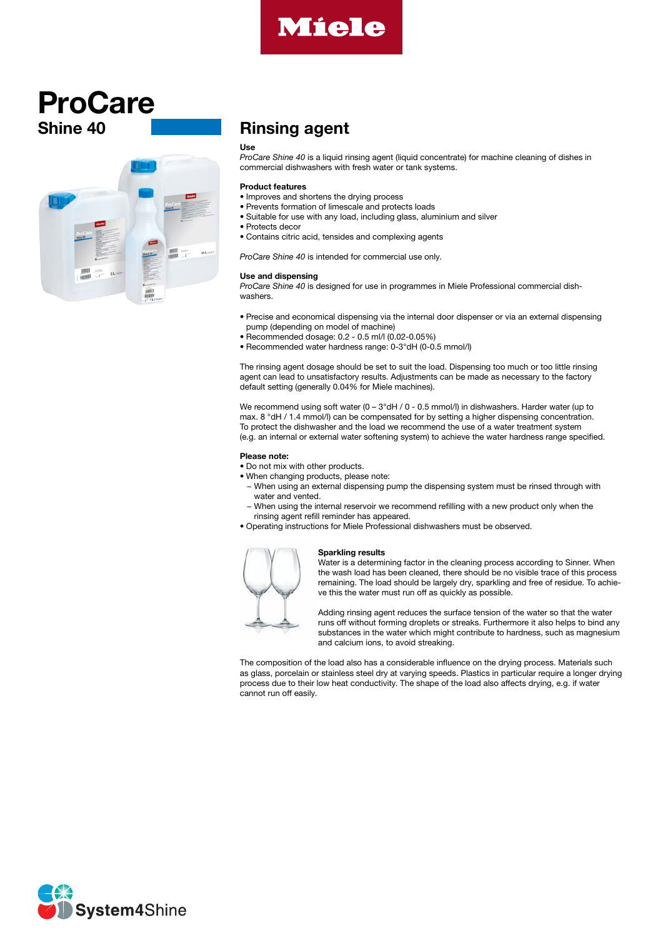

# Shine 40 ProCare



# Rinsing agent

### Use

*ProCare Shine 40* is a liquid rinsing agent (liquid concentrate) for machine cleaning of dishes in commercial dishwashers with fresh water or tank systems.

### Product features

- Improves and shortens the drying process
- Prevents formation of limescale and protects loads
- Suitable for use with any load, including glass, aluminium and silver
- Protects decor
- Contains citric acid, tensides and complexing agents

*ProCare Shine 40* is intended for commercial use only.

#### Use and dispensing

*ProCare Shine 40* is designed for use in programmes in Miele Professional commercial dishwashers.

- Precise and economical dispensing via the internal door dispenser or via an external dispensing pump (depending on model of machine)
- Recommended dosage: 0.2 0.5 ml/l (0.02-0.05%)
- Recommended water hardness range: 0-3°dH (0-0.5 mmol/l)

The rinsing agent dosage should be set to suit the load. Dispensing too much or too little rinsing agent can lead to unsatisfactory results. Adjustments can be made as necessary to the factory default setting (generally 0.04% for Miele machines).

We recommend using soft water (0 - 3°dH / 0 - 0.5 mmol/l) in dishwashers. Harder water (up to max. 8 °dH / 1.4 mmol/l) can be compensated for by setting a higher dispensing concentration. To protect the dishwasher and the load we recommend the use of a water treatment system (e.g. an internal or external water softening system) to achieve the water hardness range specified.

### Please note:

- Do not mix with other products.
- When changing products, please note:
	- − When using an external dispensing pump the dispensing system must be rinsed through with water and vented.
	- − When using the internal reservoir we recommend refilling with a new product only when the rinsing agent refill reminder has appeared.
- Operating instructions for Miele Professional dishwashers must be observed.

## Sparkling results

Water is a determining factor in the cleaning process according to Sinner. When the wash load has been cleaned, there should be no visible trace of this process remaining. The load should be largely dry, sparkling and free of residue. To achieve this the water must run off as quickly as possible.



The composition of the load also has a considerable influence on the drying process. Materials such as glass, porcelain or stainless steel dry at varying speeds. Plastics in particular require a longer drying process due to their low heat conductivity. The shape of the load also affects drying, e.g. if water cannot run off easily.